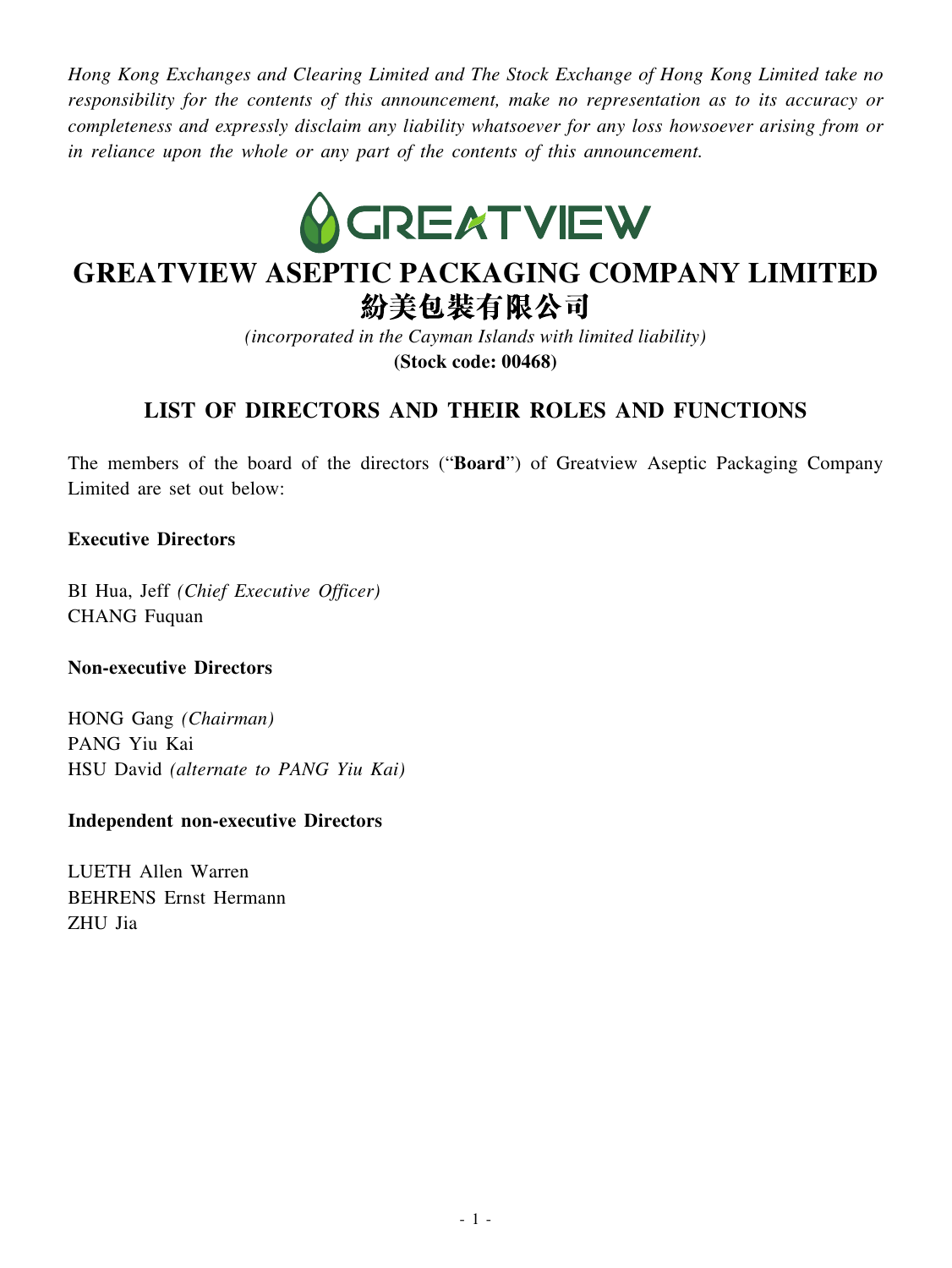*Hong Kong Exchanges and Clearing Limited and The Stock Exchange of Hong Kong Limited take no responsibility for the contents of this announcement, make no representation as to its accuracy or completeness and expressly disclaim any liability whatsoever for any loss howsoever arising from or in reliance upon the whole or any part of the contents of this announcement.*



# **GREATVIEW ASEPTIC PACKAGING COMPANY LIMITED** 紛美包裝有限公司

*(incorporated in the Cayman Islands with limited liability)* **(Stock code: 00468)**

# **LIST OF DIRECTORS AND THEIR ROLES AND FUNCTIONS**

The members of the board of the directors ("**Board**") of Greatview Aseptic Packaging Company Limited are set out below:

## **Executive Directors**

BI Hua, Jeff *(Chief Executive Officer)* CHANG Fuquan

### **Non-executive Directors**

HONG Gang *(Chairman)* PANG Yiu Kai HSU David *(alternate to PANG Yiu Kai)*

### **Independent non-executive Directors**

LUETH Allen Warren BEHRENS Ernst Hermann ZHU Jia